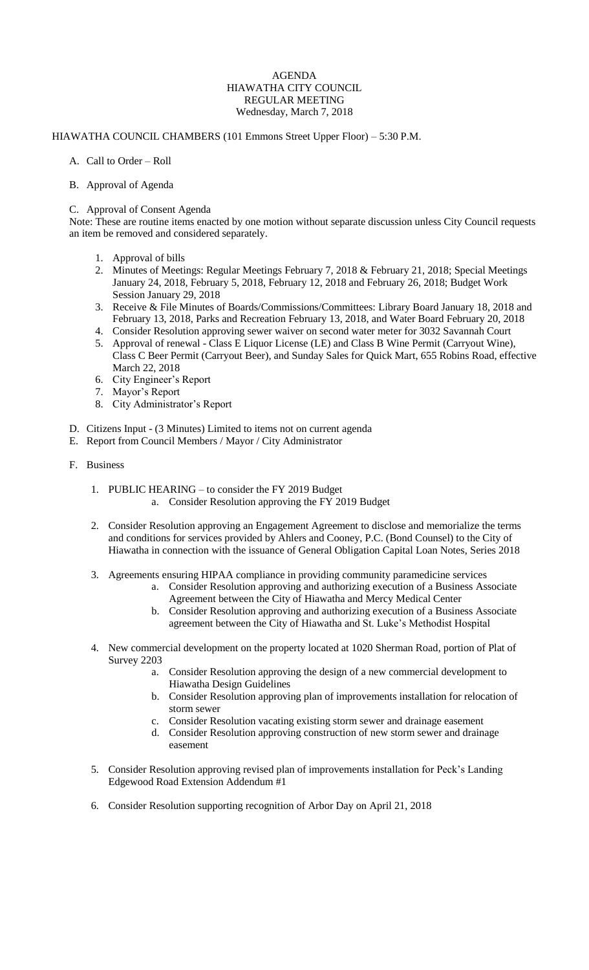## AGENDA HIAWATHA CITY COUNCIL REGULAR MEETING Wednesday, March 7, 2018

## HIAWATHA COUNCIL CHAMBERS (101 Emmons Street Upper Floor) – 5:30 P.M.

- A. Call to Order Roll
- B. Approval of Agenda

## C. Approval of Consent Agenda

Note: These are routine items enacted by one motion without separate discussion unless City Council requests an item be removed and considered separately.

- 1. Approval of bills
- 2. Minutes of Meetings: Regular Meetings February 7, 2018 & February 21, 2018; Special Meetings January 24, 2018, February 5, 2018, February 12, 2018 and February 26, 2018; Budget Work Session January 29, 2018
- 3. Receive & File Minutes of Boards/Commissions/Committees: Library Board January 18, 2018 and February 13, 2018, Parks and Recreation February 13, 2018, and Water Board February 20, 2018
- 4. Consider Resolution approving sewer waiver on second water meter for 3032 Savannah Court
- 5. Approval of renewal Class E Liquor License (LE) and Class B Wine Permit (Carryout Wine), Class C Beer Permit (Carryout Beer), and Sunday Sales for Quick Mart, 655 Robins Road, effective March 22, 2018
- 6. City Engineer's Report
- 7. Mayor's Report
- 8. City Administrator's Report
- D. Citizens Input (3 Minutes) Limited to items not on current agenda
- E. Report from Council Members / Mayor / City Administrator
- F. Business
	- 1. PUBLIC HEARING to consider the FY 2019 Budget a. Consider Resolution approving the FY 2019 Budget
	- 2. Consider Resolution approving an Engagement Agreement to disclose and memorialize the terms and conditions for services provided by Ahlers and Cooney, P.C. (Bond Counsel) to the City of Hiawatha in connection with the issuance of General Obligation Capital Loan Notes, Series 2018
	- 3. Agreements ensuring HIPAA compliance in providing community paramedicine services
		- a. Consider Resolution approving and authorizing execution of a Business Associate Agreement between the City of Hiawatha and Mercy Medical Center
		- b. Consider Resolution approving and authorizing execution of a Business Associate agreement between the City of Hiawatha and St. Luke's Methodist Hospital
	- 4. New commercial development on the property located at 1020 Sherman Road, portion of Plat of Survey 2203
		- a. Consider Resolution approving the design of a new commercial development to Hiawatha Design Guidelines
		- b. Consider Resolution approving plan of improvements installation for relocation of storm sewer
		- c. Consider Resolution vacating existing storm sewer and drainage easement
		- d. Consider Resolution approving construction of new storm sewer and drainage easement
	- 5. Consider Resolution approving revised plan of improvements installation for Peck's Landing Edgewood Road Extension Addendum #1
	- 6. Consider Resolution supporting recognition of Arbor Day on April 21, 2018